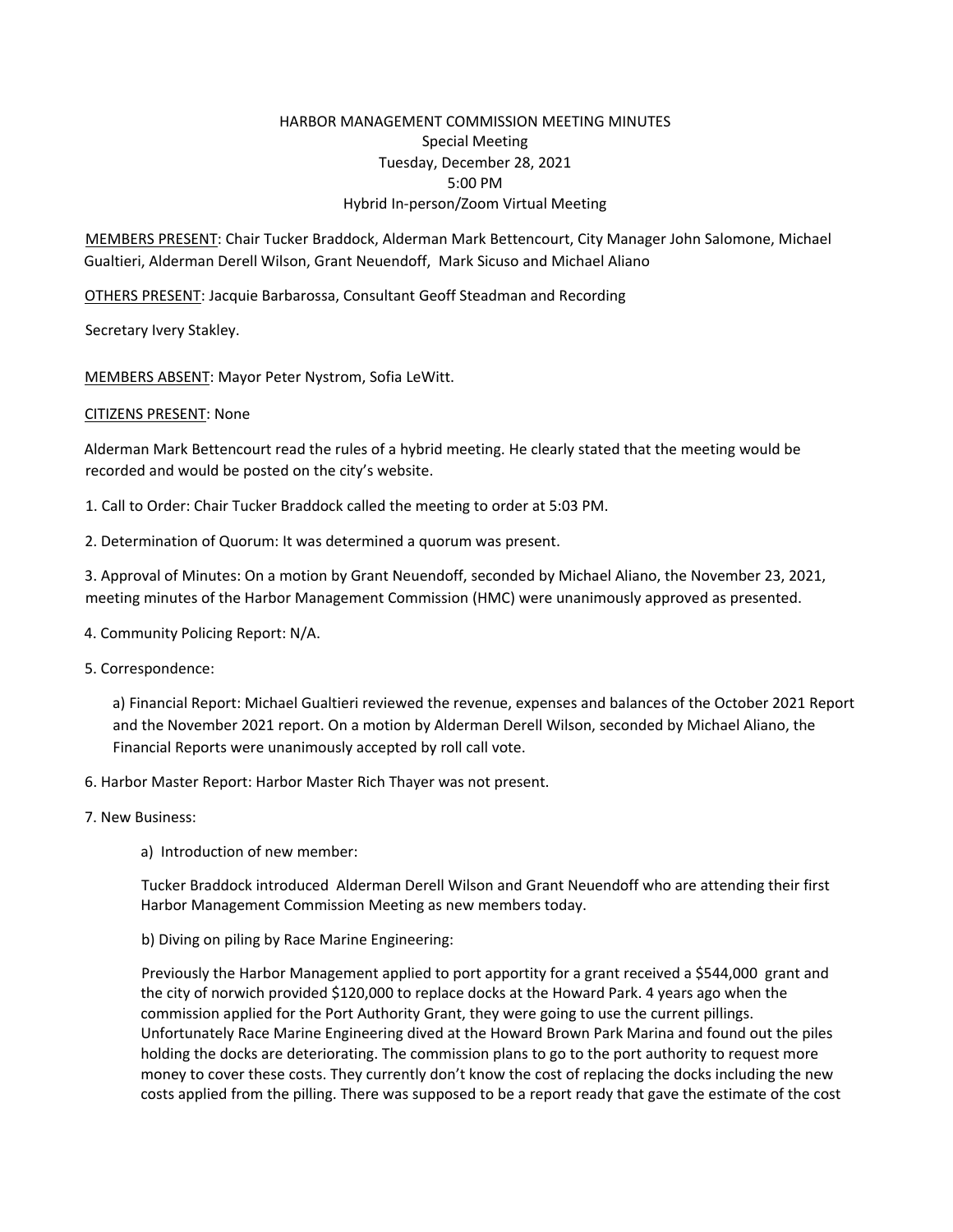# HARBOR MANAGEMENT COMMISSION MEETING MINUTES Special Meeting Tuesday, December 28, 2021 5:00 PM Hybrid In‐person/Zoom Virtual Meeting

MEMBERS PRESENT: Chair Tucker Braddock, Alderman Mark Bettencourt, City Manager John Salomone, Michael Gualtieri, Alderman Derell Wilson, Grant Neuendoff, Mark Sicuso and Michael Aliano

OTHERS PRESENT: Jacquie Barbarossa, Consultant Geoff Steadman and Recording

Secretary Ivery Stakley.

MEMBERS ABSENT: Mayor Peter Nystrom, Sofia LeWitt.

### CITIZENS PRESENT: None

Alderman Mark Bettencourt read the rules of a hybrid meeting. He clearly stated that the meeting would be recorded and would be posted on the city's website.

- 1. Call to Order: Chair Tucker Braddock called the meeting to order at 5:03 PM.
- 2. Determination of Quorum: It was determined a quorum was present.

3. Approval of Minutes: On a motion by Grant Neuendoff, seconded by Michael Aliano, the November 23, 2021, meeting minutes of the Harbor Management Commission (HMC) were unanimously approved as presented.

- 4. Community Policing Report: N/A.
- 5. Correspondence:

a) Financial Report: Michael Gualtieri reviewed the revenue, expenses and balances of the October 2021 Report and the November 2021 report. On a motion by Alderman Derell Wilson, seconded by Michael Aliano, the Financial Reports were unanimously accepted by roll call vote.

- 6. Harbor Master Report: Harbor Master Rich Thayer was not present.
- 7. New Business:
	- a) Introduction of new member:

Tucker Braddock introduced Alderman Derell Wilson and Grant Neuendoff who are attending their first Harbor Management Commission Meeting as new members today.

b) Diving on piling by Race Marine Engineering:

Previously the Harbor Management applied to port apportity for a grant received a \$544,000 grant and the city of norwich provided \$120,000 to replace docks at the Howard Park. 4 years ago when the commission applied for the Port Authority Grant, they were going to use the current pillings. Unfortunately Race Marine Engineering dived at the Howard Brown Park Marina and found out the piles holding the docks are deteriorating. The commission plans to go to the port authority to request more money to cover these costs. They currently don't know the cost of replacing the docks including the new costs applied from the pilling. There was supposed to be a report ready that gave the estimate of the cost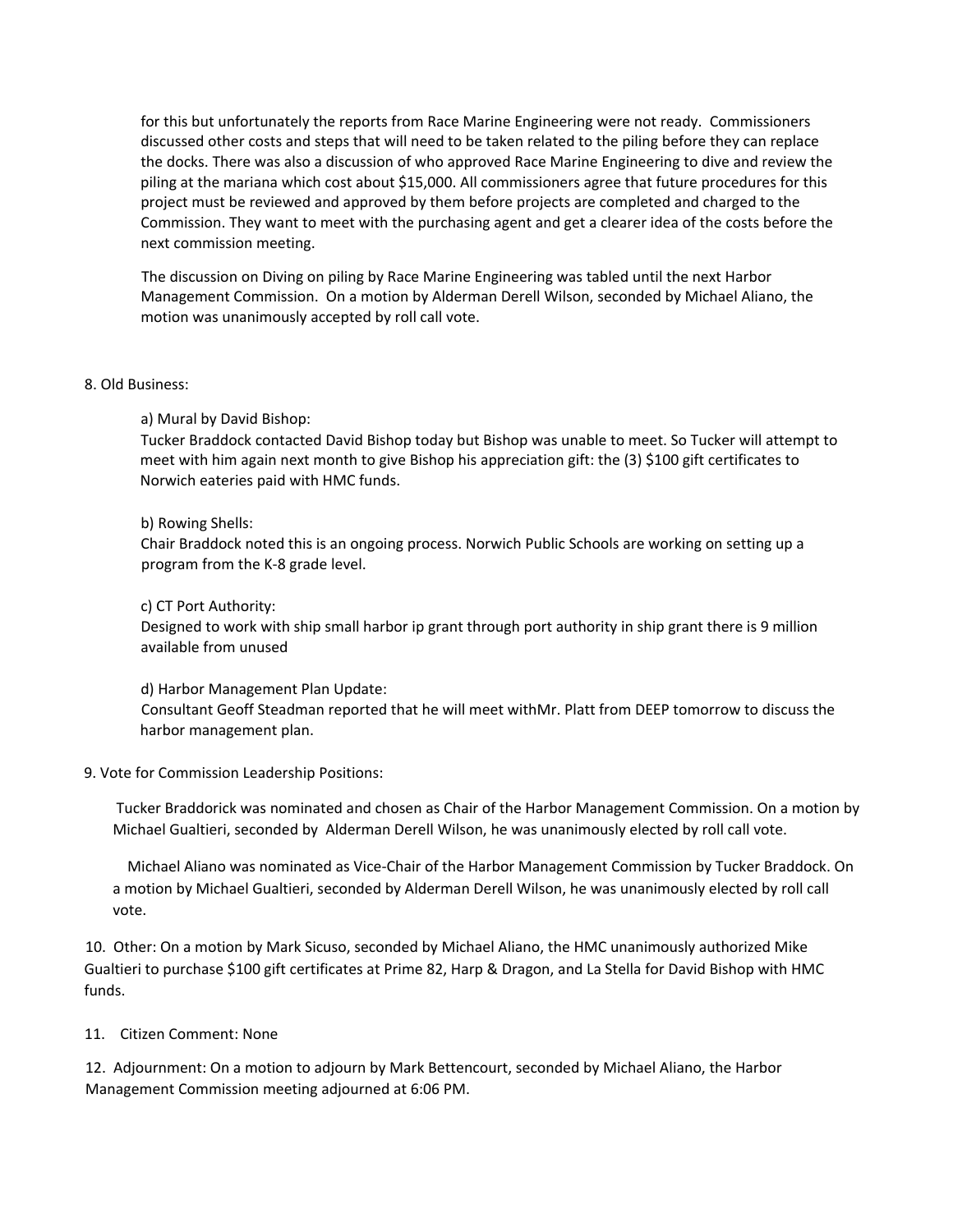for this but unfortunately the reports from Race Marine Engineering were not ready. Commissioners discussed other costs and steps that will need to be taken related to the piling before they can replace the docks. There was also a discussion of who approved Race Marine Engineering to dive and review the piling at the mariana which cost about \$15,000. All commissioners agree that future procedures for this project must be reviewed and approved by them before projects are completed and charged to the Commission. They want to meet with the purchasing agent and get a clearer idea of the costs before the next commission meeting.

The discussion on Diving on piling by Race Marine Engineering was tabled until the next Harbor Management Commission. On a motion by Alderman Derell Wilson, seconded by Michael Aliano, the motion was unanimously accepted by roll call vote.

## 8. Old Business:

### a) Mural by David Bishop:

Tucker Braddock contacted David Bishop today but Bishop was unable to meet. So Tucker will attempt to meet with him again next month to give Bishop his appreciation gift: the (3) \$100 gift certificates to Norwich eateries paid with HMC funds.

### b) Rowing Shells:

Chair Braddock noted this is an ongoing process. Norwich Public Schools are working on setting up a program from the K‐8 grade level.

#### c) CT Port Authority:

Designed to work with ship small harbor ip grant through port authority in ship grant there is 9 million available from unused

### d) Harbor Management Plan Update:

Consultant Geoff Steadman reported that he will meet withMr. Platt from DEEP tomorrow to discuss the harbor management plan.

### 9. Vote for Commission Leadership Positions:

Tucker Braddorick was nominated and chosen as Chair of the Harbor Management Commission. On a motion by Michael Gualtieri, seconded by Alderman Derell Wilson, he was unanimously elected by roll call vote.

 Michael Aliano was nominated as Vice‐Chair of the Harbor Management Commission by Tucker Braddock. On a motion by Michael Gualtieri, seconded by Alderman Derell Wilson, he was unanimously elected by roll call vote.

10. Other: On a motion by Mark Sicuso, seconded by Michael Aliano, the HMC unanimously authorized Mike Gualtieri to purchase \$100 gift certificates at Prime 82, Harp & Dragon, and La Stella for David Bishop with HMC funds.

### 11. Citizen Comment: None

12. Adjournment: On a motion to adjourn by Mark Bettencourt, seconded by Michael Aliano, the Harbor Management Commission meeting adjourned at 6:06 PM.